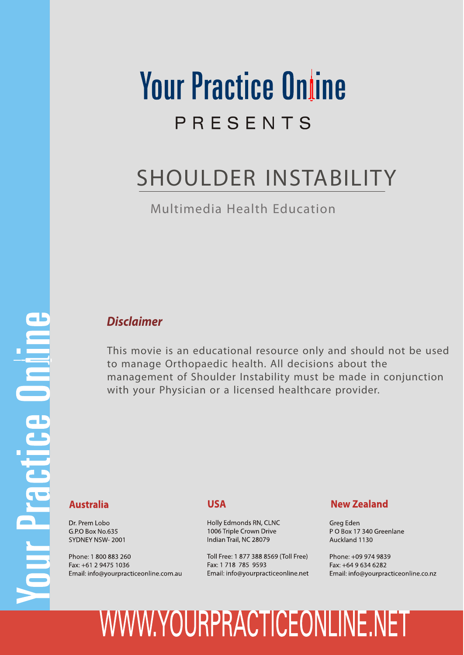# **Your Practice Online** PRESENTS

## SHOULDER INSTABILITY

Multimedia Health Education

# **The Department Constitution**

## *Disclaimer*

This movie is an educational resource only and should not be used to manage Orthopaedic health. All decisions about the management of Shoulder Instability must be made in conjunction with your Physician or a licensed healthcare provider.

## **Australia**

Dr. Prem Lobo G.P.O Box No.635 SYDNEY NSW-2001

Phone: 1 800 883 260 Fax: +61 2 9475 1036 Email: info@yourpracticeonline.com.au

## **USA**

Holly Edmonds RN, CLNC 1006 Triple Crown Drive Indian Trail, NC 28079

Toll Free: 1 877 388 8569 (Toll Free) Fax: 1 718 785 9593 Email: info@yourpracticeonline.net

## **New Zealand**

Greg Eden PO Box 17 340 Greenlane Auckland 1130

Phone: +09 974 9839 Fax: +64 9 634 6282 Email: info@yourpracticeonline.co.nz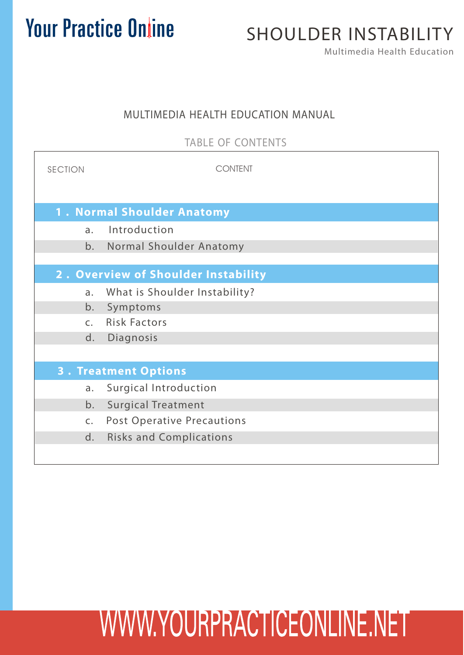## SHOULDER INSTABILITY

Multimedia Health Education

 $\overline{\phantom{a}}$ 

## MULTIMEDIA HEALTH EDUCATION MANUAL

TABLE OF CONTENTS

| <b>SECTION</b>                      | CONTENT                           |  |  |
|-------------------------------------|-----------------------------------|--|--|
| <b>1. Normal Shoulder Anatomy</b>   |                                   |  |  |
| $\mathsf{a}$ .                      | Introduction                      |  |  |
| b.                                  | Normal Shoulder Anatomy           |  |  |
|                                     |                                   |  |  |
| 2. Overview of Shoulder Instability |                                   |  |  |
| a.                                  | What is Shoulder Instability?     |  |  |
| b.                                  | Symptoms                          |  |  |
| C <sub>1</sub>                      | <b>Risk Factors</b>               |  |  |
| d.                                  | Diagnosis                         |  |  |
|                                     |                                   |  |  |
| <b>3. Treatment Options</b>         |                                   |  |  |
| a.                                  | <b>Surgical Introduction</b>      |  |  |
| b.                                  | <b>Surgical Treatment</b>         |  |  |
| $\mathsf{C}$ .                      | <b>Post Operative Precautions</b> |  |  |
| d.                                  | <b>Risks and Complications</b>    |  |  |
|                                     |                                   |  |  |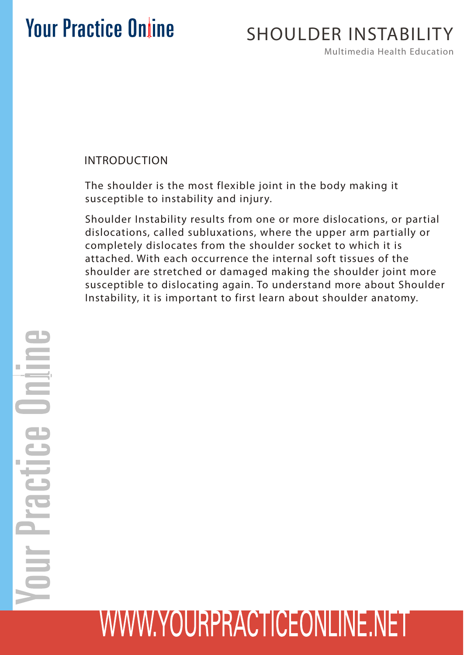## SHOULDER INSTABILITY

Multimedia Health Education

## INTRODUCTION

The shoulder is the most flexible joint in the body making it susceptible to instability and injury.

Shoulder Instability results from one or more dislocations, or partial dislocations, called subluxations, where the upper arm partially or completely dislocates from the shoulder socket to which it is attached. With each occurrence the internal soft tissues of the shoulder are stretched or damaged making the shoulder joint more susceptible to dislocating again. To understand more about Shoulder Instability, it is important to first learn about shoulder anatomy.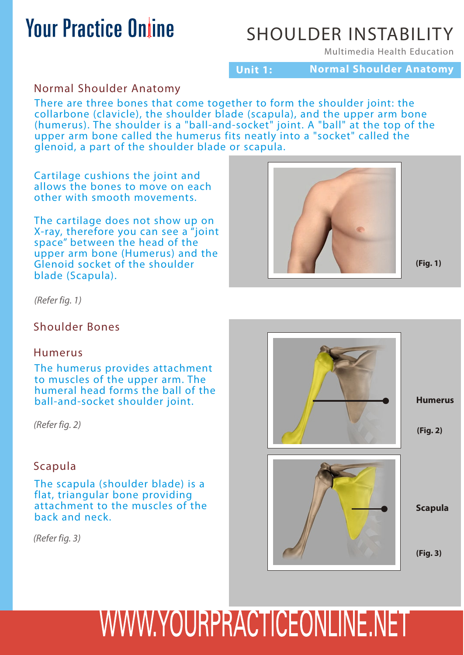## SHOULDER INSTABILITY

Multimedia Health Education

**Unit 1: Normal Shoulder Anatomy**

## Normal Shoulder Anatomy

There are three bones that come together to form the shoulder joint: the collarbone (clavicle), the shoulder blade (scapula), and the upper arm bone (humerus). The shoulder is a "ball-and-socket" joint. A "ball" at the top of the upper arm bone called the humerus fits neatly into a "socket" called the glenoid, a part of the shoulder blade or scapula.

Cartilage cushions the joint and allows the bones to move on each other with smooth movements.

The cartilage does not show up on X-ray, therefore you can see a "joint space" between the head of the upper arm bone (Humerus) and the Glenoid socket of the shoulder blade (Scapula).



**(Fig. 1)**

*(Refer fig. 1)*

#### Shoulder Bones

#### Humerus

The humerus provides attachment to muscles of the upper arm. The humeral head forms the ball of the ball-and-socket shoulder joint.

*(Refer fig. 2)*

## Scapula

The scapula (shoulder blade) is a flat, triangular bone providing attachment to the muscles of the back and neck.

*(Refer fig. 3)*

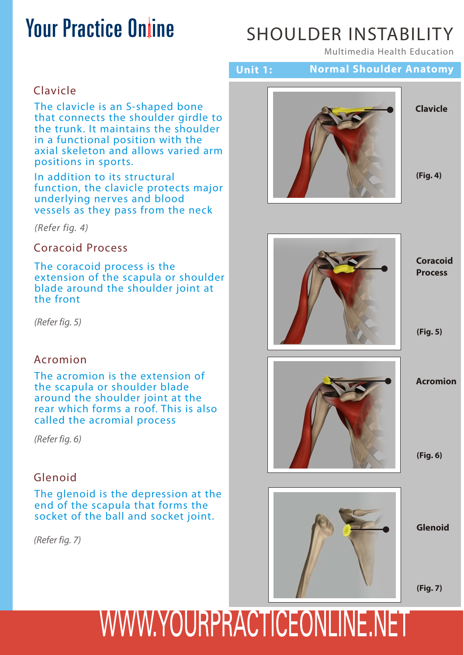## SHOULDER INSTABILITY

**Unit 1: Normal Shoulder Anatomy**

Multimedia Health Education

## Clavicle

The clavicle is an S-shaped bone that connects the shoulder girdle to the trunk. It maintains the shoulder in a functional position with the axial skeleton and allows varied arm positions in sports.

In addition to its structural function, the clavicle protects major underlying nerves and blood vessels as they pass from the neck

*(Refer fig. 4)*

Coracoid Process

The coracoid process is the extension of the scapula or shoulder blade around the shoulder joint at the front

*(Refer fig. 5)*

#### Acromion

The acromion is the extension of the scapula or shoulder blade around the shoulder joint at the rear which forms a roof. This is also called the acromial process

*(Refer fig. 6)*

#### Glenoid

The glenoid is the depression at the end of the scapula that forms the socket of the ball and socket joint.

*(Refer fig. 7)*



**Clavicle**



**(Fig. 4)**



**(Fig. 6)**



**Glenoid**

**(Fig. 7)**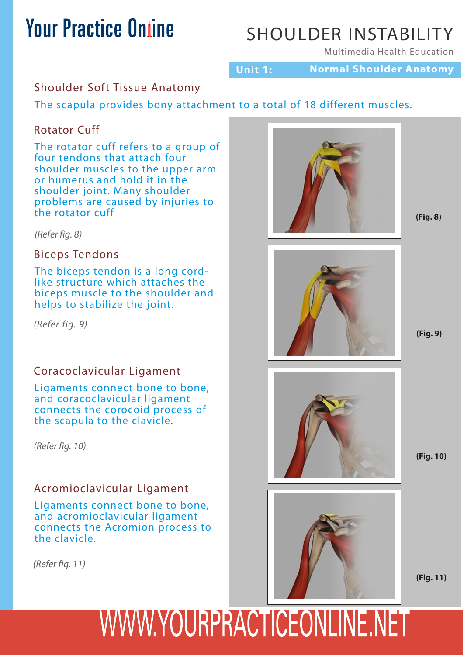## SHOULDER INSTABILITY

Multimedia Health Education

**Unit 1: Normal Shoulder Anatomy**

## Shoulder Soft Tissue Anatomy

The scapula provides bony attachment to a total of 18 different muscles.

## Rotator Cuff

The rotator cuff refers to a group of four tendons that attach four shoulder muscles to the upper arm or humerus and hold it in the shoulder joint. Many shoulder problems are caused by injuries to the rotator cuff

*(Refer fig. 8)*

## Biceps Tendons

The biceps tendon is a long cordlike structure which attaches the biceps muscle to the shoulder and helps to stabilize the joint.

*(Refer fig. 9)*

## Coracoclavicular Ligament

Ligaments connect bone to bone, and coracoclavicular ligament connects the corocoid process of the scapula to the clavicle.

*(Refer fig. 10)*

## Acromioclavicular Ligament

Ligaments connect bone to bone, and acromioclavicular ligament connects the Acromion process to the clavicle.

*(Refer fig. 11)*



**(Fig. 8)**



**(Fig. 9)**



**(Fig. 10)**



**(Fig. 11)**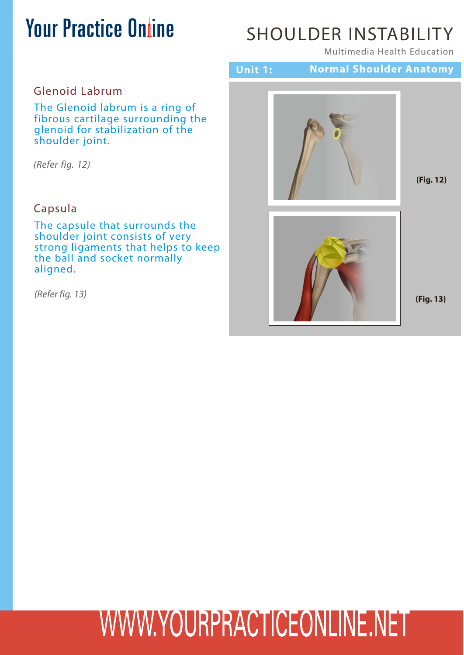## SHOULDER INSTABILITY

Multimedia Health Education

## Glenoid Labrum

The Glenoid labrum is a ring of fibrous cartilage surrounding the glenoid for stabilization of the shoulder joint.

*(Refer fig. 12)*

## Capsula

The capsule that surrounds the shoulder joint consists of very strong ligaments that helps to keep the ball and socket normally aligned.

*(Refer fig. 13)*

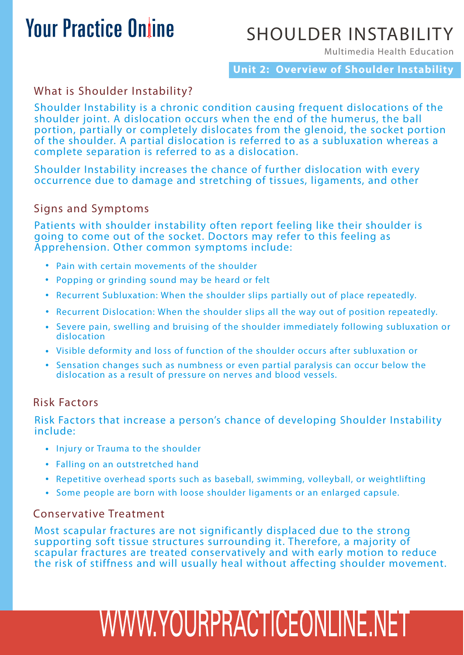## SHOULDER INSTABILITY

Multimedia Health Education

**Unit 2: Overview of Shoulder Instability**

## What is Shoulder Instability?

Shoulder Instability is a chronic condition causing frequent dislocations of the shoulder joint. A dislocation occurs when the end of the humerus, the ball portion, partially or completely dislocates from the glenoid, the socket portion of the shoulder. A partial dislocation is referred to as a subluxation whereas a complete separation is referred to as a dislocation.

Shoulder Instability increases the chance of further dislocation with every occurrence due to damage and stretching of tissues, ligaments, and other

## Signs and Symptoms

Patients with shoulder instability often report feeling like their shoulder is going to come out of the socket. Doctors may refer to this feeling as Apprehension. Other common symptoms include:

- Pain with certain movements of the shoulder
- Popping or grinding sound may be heard or felt
- Recurrent Subluxation: When the shoulder slips partially out of place repeatedly.
- Recurrent Dislocation: When the shoulder slips all the way out of position repeatedly.
- Severe pain, swelling and bruising of the shoulder immediately following subluxation or dislocation
- Visible deformity and loss of function of the shoulder occurs after subluxation or
- Sensation changes such as numbness or even partial paralysis can occur below the dislocation as a result of pressure on nerves and blood vessels.

## Risk Factors

Risk Factors that increase a person's chance of developing Shoulder Instability include:

- Injury or Trauma to the shoulder
- Falling on an outstretched hand
- Repetitive overhead sports such as baseball, swimming, volleyball, or weightlifting
- Some people are born with loose shoulder ligaments or an enlarged capsule.

#### Conservative Treatment

Most scapular fractures are not significantly displaced due to the strong supporting soft tissue structures surrounding it. Therefore, a majority of scapular fractures are treated conservatively and with early motion to reduce the risk of stiffness and will usually heal without affecting shoulder movement.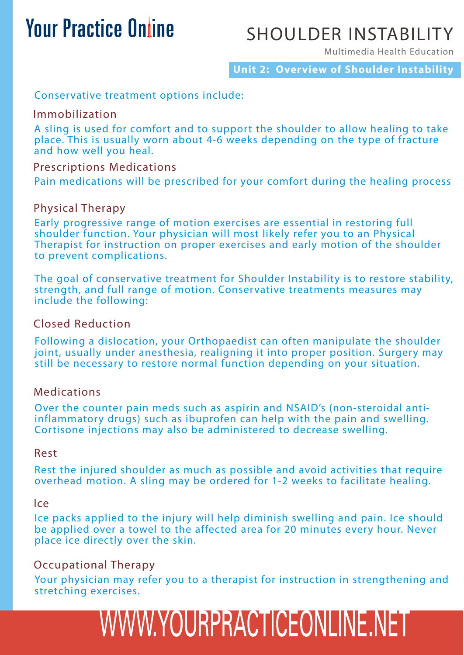## SHOULDER INSTABILITY

Multimedia Health Education

**Unit 2: Overview of Shoulder Instability**

#### Conservative treatment options include:

#### Immobilization

A sling is used for comfort and to support the shoulder to allow healing to take place. This is usually worn about 4-6 weeks depending on the type of fracture and how well you heal.

#### Prescriptions Medications

Pain medications will be prescribed for your comfort during the healing process

## Physical Therapy

Early progressive range of motion exercises are essential in restoring full shoulder function. Your physician will most likely refer you to an Physical Therapist for instruction on proper exercises and early motion of the shoulder to prevent complications.

The goal of conservative treatment for Shoulder Instability is to restore stability, strength, and full range of motion. Conservative treatments measures may include the following:

#### Closed Reduction

Following a dislocation, your Orthopaedist can often manipulate the shoulder joint, usually under anesthesia, realigning it into proper position. Surgery may still be necessary to restore normal function depending on your situation.

#### Medications

Over the counter pain meds such as aspirin and NSAID's (non-steroidal antiinflammatory drugs) such as ibuprofen can help with the pain and swelling. Cortisone injections may also be administered to decrease swelling.

#### Rest

Rest the injured shoulder as much as possible and avoid activities that require overhead motion. A sling may be ordered for 1-2 weeks to facilitate healing.

#### Ice

Ice packs applied to the injury will help diminish swelling and pain. Ice should be applied over a towel to the affected area for 20 minutes every hour. Never place ice directly over the skin.

## Occupational Therapy

Your physician may refer you to a therapist for instruction in strengthening and stretching exercises.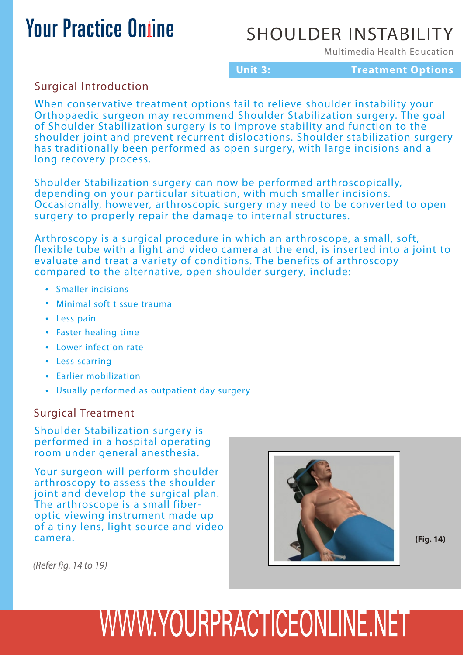## SHOULDER INSTABILITY

Multimedia Health Education

#### **Unit 3:**

**Treatment Options**

Surgical Introduction

When conservative treatment options fail to relieve shoulder instability your Orthopaedic surgeon may recommend Shoulder Stabilization surgery. The goal of Shoulder Stabilization surgery is to improve stability and function to the shoulder joint and prevent recurrent dislocations. Shoulder stabilization surgery has traditionally been performed as open surgery, with large incisions and a long recovery process.

Shoulder Stabilization surgery can now be performed arthroscopically, depending on your particular situation, with much smaller incisions. Occasionally, however, arthroscopic surgery may need to be converted to open surgery to properly repair the damage to internal structures.

Arthroscopy is a surgical procedure in which an arthroscope, a small, soft, flexible tube with a light and video camera at the end, is inserted into a joint to evaluate and treat a variety of conditions. The benefits of arthroscopy compared to the alternative, open shoulder surgery, include:

- Smaller incisions
- Minimal soft tissue trauma
- Less pain
- Faster healing time
- Lower infection rate
- Less scarring
- Earlier mobilization
- Usually performed as outpatient day surgery

#### Surgical Treatment

Shoulder Stabilization surgery is performed in a hospital operating room under general anesthesia.

Your surgeon will perform shoulder arthroscopy to assess the shoulder joint and develop the surgical plan. The arthroscope is a small fiberoptic viewing instrument made up of a tiny lens, light source and video camera.



**(Fig. 14)**

*(Refer fig. 14 to 19)*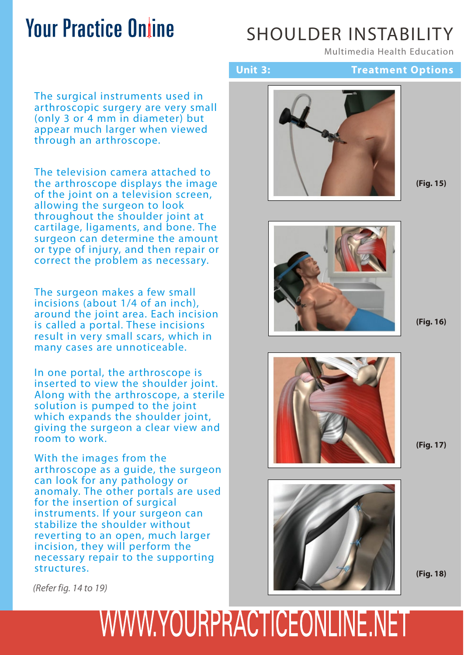## SHOULDER INSTABILITY

Multimedia Health Education

**Treatment Options**

#### The surgical instruments used in arthroscopic surgery are very small (only 3 or 4 mm in diameter) but appear much larger when viewed through an arthroscope.

The television camera attached to the arthroscope displays the image of the joint on a television screen, allowing the surgeon to look throughout the shoulder joint at cartilage, ligaments, and bone. The surgeon can determine the amount or type of injury, and then repair or correct the problem as necessary.

The surgeon makes a few small incisions (about 1/4 of an inch), around the joint area. Each incision is called a portal. These incisions result in very small scars, which in many cases are unnoticeable.

In one portal, the arthroscope is inserted to view the shoulder joint. Along with the arthroscope, a sterile solution is pumped to the joint which expands the shoulder joint, giving the surgeon a clear view and room to work.

With the images from the arthroscope as a guide, the surgeon can look for any pathology or anomaly. The other portals are used for the insertion of surgical instruments. If your surgeon can stabilize the shoulder without reverting to an open, much larger incision, they will perform the necessary repair to the supporting structures.



**Unit 3:**

**(Fig. 15)**



**(Fig. 16)**



**(Fig. 17)**



**(Fig. 18)**

*(Refer fig. 14 to 19)*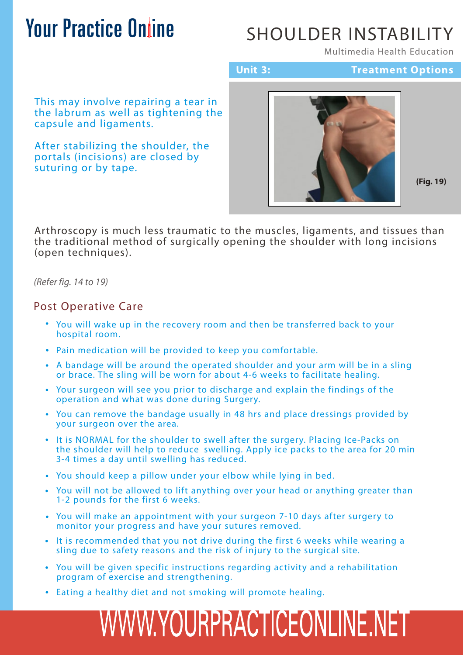## SHOULDER INSTABILITY

Multimedia Health Education

**Unit 3:**

**Treatment Options**

This may involve repairing a tear in the labrum as well as tightening the capsule and ligaments.

After stabilizing the shoulder, the portals (incisions) are closed by suturing or by tape.



**(Fig. 19)**

Arthroscopy is much less traumatic to the muscles, ligaments, and tissues than the traditional method of surgically opening the shoulder with long incisions (open techniques).

*(Refer fig. 14 to 19)*

#### Post Operative Care

- You will wake up in the recovery room and then be transferred back to your hospital room.
- Pain medication will be provided to keep you comfortable.
- A bandage will be around the operated shoulder and your arm will be in a sling or brace. The sling will be worn for about 4-6 weeks to facilitate healing.
- Your surgeon will see you prior to discharge and explain the findings of the operation and what was done during Surgery.
- You can remove the bandage usually in 48 hrs and place dressings provided by your surgeon over the area.
- It is NORMAL for the shoulder to swell after the surgery. Placing Ice-Packs on the shoulder will help to reduce swelling. Apply ice packs to the area for 20 min 3-4 times a day until swelling has reduced.
- You should keep a pillow under your elbow while lying in bed.
- You will not be allowed to lift anything over your head or anything greater than 1-2 pounds for the first 6 weeks.
- You will make an appointment with your surgeon 7-10 days after surgery to monitor your progress and have your sutures removed.
- It is recommended that you not drive during the first 6 weeks while wearing a sling due to safety reasons and the risk of injury to the surgical site.
- You will be given specific instructions regarding activity and a rehabilitation program of exercise and strengthening.
- Eating a healthy diet and not smoking will promote healing.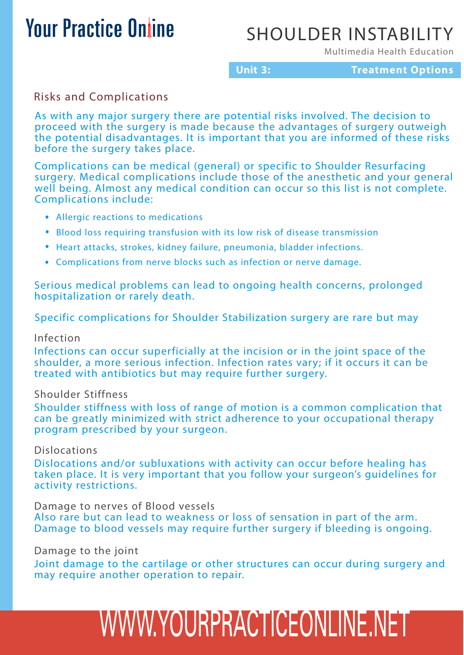## SHOULDER INSTABILITY

Multimedia Health Education

#### **Unit 3:**

**Treatment Options**

## Risks and Complications

As with any major surgery there are potential risks involved. The decision to proceed with the surgery is made because the advantages of surgery outweigh the potential disadvantages. It is important that you are informed of these risks before the surgery takes place.

Complications can be medical (general) or specific to Shoulder Resurfacing surgery. Medical complications include those of the anesthetic and your general well being. Almost any medical condition can occur so this list is not complete. Complications include:

- Allergic reactions to medications
- Blood loss requiring transfusion with its low risk of disease transmission
- Heart attacks, strokes, kidney failure, pneumonia, bladder infections.
- Complications from nerve blocks such as infection or nerve damage.

Serious medical problems can lead to ongoing health concerns, prolonged hospitalization or rarely death.

Specific complications for Shoulder Stabilization surgery are rare but may

#### Infection

Infections can occur superficially at the incision or in the joint space of the shoulder, a more serious infection. Infection rates vary; if it occurs it can be treated with antibiotics but may require further surgery.

#### Shoulder Stiffness

Shoulder stiffness with loss of range of motion is a common complication that can be greatly minimized with strict adherence to your occupational therapy program prescribed by your surgeon.

#### Dislocations

Dislocations and/or subluxations with activity can occur before healing has taken place. It is very important that you follow your surgeon's guidelines for activity restrictions.

Damage to nerves of Blood vessels

Also rare but can lead to weakness or loss of sensation in part of the arm. Damage to blood vessels may require further surgery if bleeding is ongoing.

#### Damage to the joint

Joint damage to the cartilage or other structures can occur during surgery and may require another operation to repair.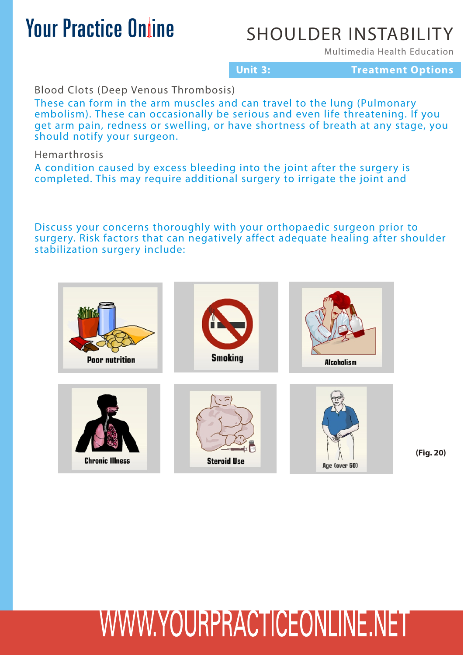## SHOULDER INSTABILITY

Multimedia Health Education

**Unit 3: Treatment Options**

Blood Clots (Deep Venous Thrombosis)

These can form in the arm muscles and can travel to the lung (Pulmonary embolism). These can occasionally be serious and even life threatening. If you get arm pain, redness or swelling, or have shortness of breath at any stage, you should notify your surgeon.

Hemarthrosis

A condition caused by excess bleeding into the joint after the surgery is completed. This may require additional surgery to irrigate the joint and

Discuss your concerns thoroughly with your orthopaedic surgeon prior to surgery. Risk factors that can negatively affect adequate healing after shoulder stabilization surgery include:



**(Fig. 20)**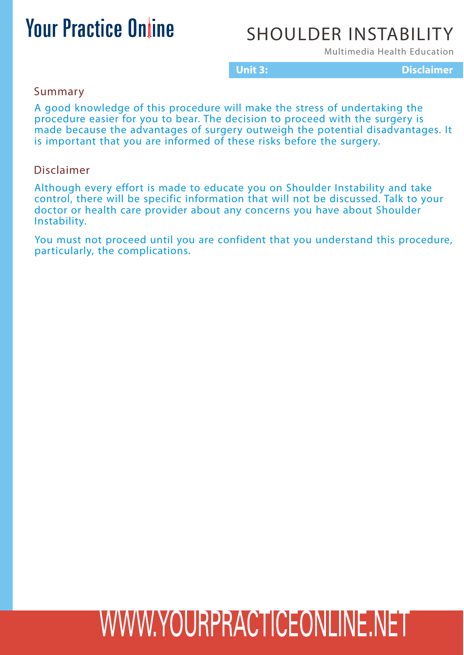## SHOULDER INSTABILITY

Multimedia Health Education

**Unit 3: Disclaimer**

Summary

A good knowledge of this procedure will make the stress of undertaking the procedure easier for you to bear. The decision to proceed with the surgery is made because the advantages of surgery outweigh the potential disadvantages. It is important that you are informed of these risks before the surgery.

#### Disclaimer

Although every effort is made to educate you on Shoulder Instability and take control, there will be specific information that will not be discussed. Talk to your doctor or health care provider about any concerns you have about Shoulder Instability.

You must not proceed until you are confident that you understand this procedure, particularly, the complications.